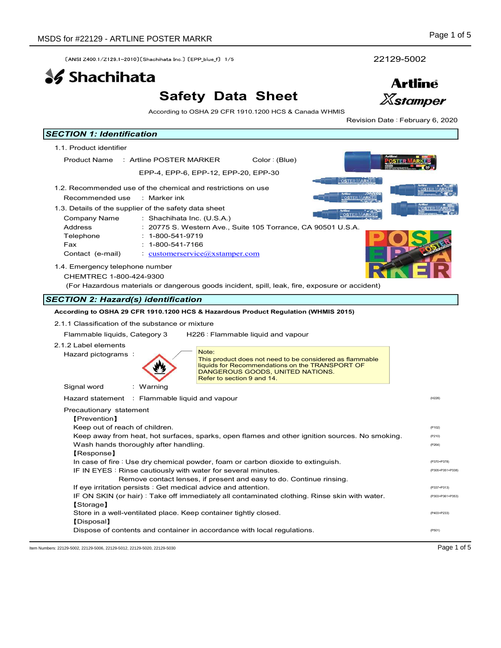# Safety Data Sheet



| SDS for #22129 - ARTLINE POSTER MARKR<br>22129-5002<br>[ANSI Z400 1/Z129 1-2010] [Shachihata Inc.] [EPP blue f] 1/5<br><b>SS</b> Shachihata<br><b>Artline</b><br><b>Safety Data Sheet</b><br><b>Xstamper</b><br>According to OSHA 29 CFR 1910.1200 HCS & Canada WHMIS<br>Revision Date: February 6, 2020<br><b>SECTION 1: Identification</b><br>1.1. Product identifier<br>Product Name : Artline POSTER MARKER<br>Color: (Blue)<br>EPP-4, EPP-6, EPP-12, EPP-20, EPP-30<br><b>POSTER MARKER</b><br>1.2. Recommended use of the chemical and restrictions on use<br><b>OSTER MARKER</b><br>Recommended use<br>: Marker ink<br>1.3. Details of the supplier of the safety data sheet<br><u>POSTER MARKI</u><br>Company Name<br>: Shachihata Inc. (U.S.A.)<br>Address<br>: 20775 S. Western Ave., Suite 105 Torrance, CA 90501 U.S.A.<br>Telephone<br>$: 1 - 800 - 541 - 9719$<br>$: 1 - 800 - 541 - 7166$<br>Fax<br>$\cdot$ customerservice $\omega$ xstamper.com<br>Contact (e-mail)<br>1.4. Emergency telephone number<br>CHEMTREC 1-800-424-9300<br>(For Hazardous materials or dangerous goods incident, spill, leak, fire, exposure or accident)<br><b>SECTION 2: Hazard(s) identification</b><br>According to OSHA 29 CFR 1910.1200 HCS & Hazardous Product Regulation (WHMIS 2015)<br>2.1.1 Classification of the substance or mixture<br>Flammable liquids, Category 3<br>H226 : Flammable liquid and vapour<br>2.1.2 Label elements<br>Note:<br>Hazard pictograms:<br>This product does not need to be considered as flammable<br>liquids for Recommendations on the TRANSPORT OF<br>DANGEROUS GOODS, UNITED NATIONS.<br>Refer to section 9 and 14.<br>Signal word<br>: Warning<br>Hazard statement Flammable liquid and vapour<br>Precautionary statement<br>[Prevention]<br>Keep out of reach of children.<br>Keep away from heat, hot surfaces, sparks, open flames and other ignition sources. No smoking.<br>Wash hands thoroughly after handling.<br>[Response]<br>In case of fire : Use dry chemical powder, foam or carbon dioxide to extinguish. | Page 1 of 5                     |
|-------------------------------------------------------------------------------------------------------------------------------------------------------------------------------------------------------------------------------------------------------------------------------------------------------------------------------------------------------------------------------------------------------------------------------------------------------------------------------------------------------------------------------------------------------------------------------------------------------------------------------------------------------------------------------------------------------------------------------------------------------------------------------------------------------------------------------------------------------------------------------------------------------------------------------------------------------------------------------------------------------------------------------------------------------------------------------------------------------------------------------------------------------------------------------------------------------------------------------------------------------------------------------------------------------------------------------------------------------------------------------------------------------------------------------------------------------------------------------------------------------------------------------------------------------------------------------------------------------------------------------------------------------------------------------------------------------------------------------------------------------------------------------------------------------------------------------------------------------------------------------------------------------------------------------------------------------------------------------------------------------------------------------------------------------------------|---------------------------------|
|                                                                                                                                                                                                                                                                                                                                                                                                                                                                                                                                                                                                                                                                                                                                                                                                                                                                                                                                                                                                                                                                                                                                                                                                                                                                                                                                                                                                                                                                                                                                                                                                                                                                                                                                                                                                                                                                                                                                                                                                                                                                   |                                 |
|                                                                                                                                                                                                                                                                                                                                                                                                                                                                                                                                                                                                                                                                                                                                                                                                                                                                                                                                                                                                                                                                                                                                                                                                                                                                                                                                                                                                                                                                                                                                                                                                                                                                                                                                                                                                                                                                                                                                                                                                                                                                   |                                 |
|                                                                                                                                                                                                                                                                                                                                                                                                                                                                                                                                                                                                                                                                                                                                                                                                                                                                                                                                                                                                                                                                                                                                                                                                                                                                                                                                                                                                                                                                                                                                                                                                                                                                                                                                                                                                                                                                                                                                                                                                                                                                   |                                 |
|                                                                                                                                                                                                                                                                                                                                                                                                                                                                                                                                                                                                                                                                                                                                                                                                                                                                                                                                                                                                                                                                                                                                                                                                                                                                                                                                                                                                                                                                                                                                                                                                                                                                                                                                                                                                                                                                                                                                                                                                                                                                   |                                 |
|                                                                                                                                                                                                                                                                                                                                                                                                                                                                                                                                                                                                                                                                                                                                                                                                                                                                                                                                                                                                                                                                                                                                                                                                                                                                                                                                                                                                                                                                                                                                                                                                                                                                                                                                                                                                                                                                                                                                                                                                                                                                   |                                 |
|                                                                                                                                                                                                                                                                                                                                                                                                                                                                                                                                                                                                                                                                                                                                                                                                                                                                                                                                                                                                                                                                                                                                                                                                                                                                                                                                                                                                                                                                                                                                                                                                                                                                                                                                                                                                                                                                                                                                                                                                                                                                   |                                 |
|                                                                                                                                                                                                                                                                                                                                                                                                                                                                                                                                                                                                                                                                                                                                                                                                                                                                                                                                                                                                                                                                                                                                                                                                                                                                                                                                                                                                                                                                                                                                                                                                                                                                                                                                                                                                                                                                                                                                                                                                                                                                   |                                 |
|                                                                                                                                                                                                                                                                                                                                                                                                                                                                                                                                                                                                                                                                                                                                                                                                                                                                                                                                                                                                                                                                                                                                                                                                                                                                                                                                                                                                                                                                                                                                                                                                                                                                                                                                                                                                                                                                                                                                                                                                                                                                   |                                 |
|                                                                                                                                                                                                                                                                                                                                                                                                                                                                                                                                                                                                                                                                                                                                                                                                                                                                                                                                                                                                                                                                                                                                                                                                                                                                                                                                                                                                                                                                                                                                                                                                                                                                                                                                                                                                                                                                                                                                                                                                                                                                   |                                 |
|                                                                                                                                                                                                                                                                                                                                                                                                                                                                                                                                                                                                                                                                                                                                                                                                                                                                                                                                                                                                                                                                                                                                                                                                                                                                                                                                                                                                                                                                                                                                                                                                                                                                                                                                                                                                                                                                                                                                                                                                                                                                   |                                 |
|                                                                                                                                                                                                                                                                                                                                                                                                                                                                                                                                                                                                                                                                                                                                                                                                                                                                                                                                                                                                                                                                                                                                                                                                                                                                                                                                                                                                                                                                                                                                                                                                                                                                                                                                                                                                                                                                                                                                                                                                                                                                   |                                 |
|                                                                                                                                                                                                                                                                                                                                                                                                                                                                                                                                                                                                                                                                                                                                                                                                                                                                                                                                                                                                                                                                                                                                                                                                                                                                                                                                                                                                                                                                                                                                                                                                                                                                                                                                                                                                                                                                                                                                                                                                                                                                   |                                 |
|                                                                                                                                                                                                                                                                                                                                                                                                                                                                                                                                                                                                                                                                                                                                                                                                                                                                                                                                                                                                                                                                                                                                                                                                                                                                                                                                                                                                                                                                                                                                                                                                                                                                                                                                                                                                                                                                                                                                                                                                                                                                   |                                 |
|                                                                                                                                                                                                                                                                                                                                                                                                                                                                                                                                                                                                                                                                                                                                                                                                                                                                                                                                                                                                                                                                                                                                                                                                                                                                                                                                                                                                                                                                                                                                                                                                                                                                                                                                                                                                                                                                                                                                                                                                                                                                   |                                 |
|                                                                                                                                                                                                                                                                                                                                                                                                                                                                                                                                                                                                                                                                                                                                                                                                                                                                                                                                                                                                                                                                                                                                                                                                                                                                                                                                                                                                                                                                                                                                                                                                                                                                                                                                                                                                                                                                                                                                                                                                                                                                   |                                 |
|                                                                                                                                                                                                                                                                                                                                                                                                                                                                                                                                                                                                                                                                                                                                                                                                                                                                                                                                                                                                                                                                                                                                                                                                                                                                                                                                                                                                                                                                                                                                                                                                                                                                                                                                                                                                                                                                                                                                                                                                                                                                   |                                 |
|                                                                                                                                                                                                                                                                                                                                                                                                                                                                                                                                                                                                                                                                                                                                                                                                                                                                                                                                                                                                                                                                                                                                                                                                                                                                                                                                                                                                                                                                                                                                                                                                                                                                                                                                                                                                                                                                                                                                                                                                                                                                   |                                 |
|                                                                                                                                                                                                                                                                                                                                                                                                                                                                                                                                                                                                                                                                                                                                                                                                                                                                                                                                                                                                                                                                                                                                                                                                                                                                                                                                                                                                                                                                                                                                                                                                                                                                                                                                                                                                                                                                                                                                                                                                                                                                   |                                 |
|                                                                                                                                                                                                                                                                                                                                                                                                                                                                                                                                                                                                                                                                                                                                                                                                                                                                                                                                                                                                                                                                                                                                                                                                                                                                                                                                                                                                                                                                                                                                                                                                                                                                                                                                                                                                                                                                                                                                                                                                                                                                   |                                 |
|                                                                                                                                                                                                                                                                                                                                                                                                                                                                                                                                                                                                                                                                                                                                                                                                                                                                                                                                                                                                                                                                                                                                                                                                                                                                                                                                                                                                                                                                                                                                                                                                                                                                                                                                                                                                                                                                                                                                                                                                                                                                   |                                 |
|                                                                                                                                                                                                                                                                                                                                                                                                                                                                                                                                                                                                                                                                                                                                                                                                                                                                                                                                                                                                                                                                                                                                                                                                                                                                                                                                                                                                                                                                                                                                                                                                                                                                                                                                                                                                                                                                                                                                                                                                                                                                   |                                 |
|                                                                                                                                                                                                                                                                                                                                                                                                                                                                                                                                                                                                                                                                                                                                                                                                                                                                                                                                                                                                                                                                                                                                                                                                                                                                                                                                                                                                                                                                                                                                                                                                                                                                                                                                                                                                                                                                                                                                                                                                                                                                   |                                 |
|                                                                                                                                                                                                                                                                                                                                                                                                                                                                                                                                                                                                                                                                                                                                                                                                                                                                                                                                                                                                                                                                                                                                                                                                                                                                                                                                                                                                                                                                                                                                                                                                                                                                                                                                                                                                                                                                                                                                                                                                                                                                   |                                 |
|                                                                                                                                                                                                                                                                                                                                                                                                                                                                                                                                                                                                                                                                                                                                                                                                                                                                                                                                                                                                                                                                                                                                                                                                                                                                                                                                                                                                                                                                                                                                                                                                                                                                                                                                                                                                                                                                                                                                                                                                                                                                   |                                 |
|                                                                                                                                                                                                                                                                                                                                                                                                                                                                                                                                                                                                                                                                                                                                                                                                                                                                                                                                                                                                                                                                                                                                                                                                                                                                                                                                                                                                                                                                                                                                                                                                                                                                                                                                                                                                                                                                                                                                                                                                                                                                   |                                 |
|                                                                                                                                                                                                                                                                                                                                                                                                                                                                                                                                                                                                                                                                                                                                                                                                                                                                                                                                                                                                                                                                                                                                                                                                                                                                                                                                                                                                                                                                                                                                                                                                                                                                                                                                                                                                                                                                                                                                                                                                                                                                   |                                 |
|                                                                                                                                                                                                                                                                                                                                                                                                                                                                                                                                                                                                                                                                                                                                                                                                                                                                                                                                                                                                                                                                                                                                                                                                                                                                                                                                                                                                                                                                                                                                                                                                                                                                                                                                                                                                                                                                                                                                                                                                                                                                   |                                 |
|                                                                                                                                                                                                                                                                                                                                                                                                                                                                                                                                                                                                                                                                                                                                                                                                                                                                                                                                                                                                                                                                                                                                                                                                                                                                                                                                                                                                                                                                                                                                                                                                                                                                                                                                                                                                                                                                                                                                                                                                                                                                   |                                 |
|                                                                                                                                                                                                                                                                                                                                                                                                                                                                                                                                                                                                                                                                                                                                                                                                                                                                                                                                                                                                                                                                                                                                                                                                                                                                                                                                                                                                                                                                                                                                                                                                                                                                                                                                                                                                                                                                                                                                                                                                                                                                   |                                 |
|                                                                                                                                                                                                                                                                                                                                                                                                                                                                                                                                                                                                                                                                                                                                                                                                                                                                                                                                                                                                                                                                                                                                                                                                                                                                                                                                                                                                                                                                                                                                                                                                                                                                                                                                                                                                                                                                                                                                                                                                                                                                   | (H226)                          |
|                                                                                                                                                                                                                                                                                                                                                                                                                                                                                                                                                                                                                                                                                                                                                                                                                                                                                                                                                                                                                                                                                                                                                                                                                                                                                                                                                                                                                                                                                                                                                                                                                                                                                                                                                                                                                                                                                                                                                                                                                                                                   |                                 |
|                                                                                                                                                                                                                                                                                                                                                                                                                                                                                                                                                                                                                                                                                                                                                                                                                                                                                                                                                                                                                                                                                                                                                                                                                                                                                                                                                                                                                                                                                                                                                                                                                                                                                                                                                                                                                                                                                                                                                                                                                                                                   |                                 |
|                                                                                                                                                                                                                                                                                                                                                                                                                                                                                                                                                                                                                                                                                                                                                                                                                                                                                                                                                                                                                                                                                                                                                                                                                                                                                                                                                                                                                                                                                                                                                                                                                                                                                                                                                                                                                                                                                                                                                                                                                                                                   | (P102)                          |
|                                                                                                                                                                                                                                                                                                                                                                                                                                                                                                                                                                                                                                                                                                                                                                                                                                                                                                                                                                                                                                                                                                                                                                                                                                                                                                                                                                                                                                                                                                                                                                                                                                                                                                                                                                                                                                                                                                                                                                                                                                                                   | (P210)                          |
|                                                                                                                                                                                                                                                                                                                                                                                                                                                                                                                                                                                                                                                                                                                                                                                                                                                                                                                                                                                                                                                                                                                                                                                                                                                                                                                                                                                                                                                                                                                                                                                                                                                                                                                                                                                                                                                                                                                                                                                                                                                                   | (P264)                          |
|                                                                                                                                                                                                                                                                                                                                                                                                                                                                                                                                                                                                                                                                                                                                                                                                                                                                                                                                                                                                                                                                                                                                                                                                                                                                                                                                                                                                                                                                                                                                                                                                                                                                                                                                                                                                                                                                                                                                                                                                                                                                   |                                 |
|                                                                                                                                                                                                                                                                                                                                                                                                                                                                                                                                                                                                                                                                                                                                                                                                                                                                                                                                                                                                                                                                                                                                                                                                                                                                                                                                                                                                                                                                                                                                                                                                                                                                                                                                                                                                                                                                                                                                                                                                                                                                   | (P370+P378)<br>(P305+P351+P338) |
| IF IN EYES : Rinse cautiously with water for several minutes.<br>Remove contact lenses, if present and easy to do. Continue rinsing.                                                                                                                                                                                                                                                                                                                                                                                                                                                                                                                                                                                                                                                                                                                                                                                                                                                                                                                                                                                                                                                                                                                                                                                                                                                                                                                                                                                                                                                                                                                                                                                                                                                                                                                                                                                                                                                                                                                              |                                 |
| If eye irritation persists : Get medical advice and attention.                                                                                                                                                                                                                                                                                                                                                                                                                                                                                                                                                                                                                                                                                                                                                                                                                                                                                                                                                                                                                                                                                                                                                                                                                                                                                                                                                                                                                                                                                                                                                                                                                                                                                                                                                                                                                                                                                                                                                                                                    |                                 |
| IF ON SKIN (or hair): Take off immediately all contaminated clothing. Rinse skin with water.                                                                                                                                                                                                                                                                                                                                                                                                                                                                                                                                                                                                                                                                                                                                                                                                                                                                                                                                                                                                                                                                                                                                                                                                                                                                                                                                                                                                                                                                                                                                                                                                                                                                                                                                                                                                                                                                                                                                                                      | (P337+P313)                     |
| [Storage]                                                                                                                                                                                                                                                                                                                                                                                                                                                                                                                                                                                                                                                                                                                                                                                                                                                                                                                                                                                                                                                                                                                                                                                                                                                                                                                                                                                                                                                                                                                                                                                                                                                                                                                                                                                                                                                                                                                                                                                                                                                         | (P303+P361+P353)                |
| Store in a well-ventilated place. Keep container tightly closed.<br>(P403+P233)<br>[Disposal]                                                                                                                                                                                                                                                                                                                                                                                                                                                                                                                                                                                                                                                                                                                                                                                                                                                                                                                                                                                                                                                                                                                                                                                                                                                                                                                                                                                                                                                                                                                                                                                                                                                                                                                                                                                                                                                                                                                                                                     |                                 |

Dispose of contents and container in accordance with local regulations. The example of contents and container in accordance with local regulations.

Item Numbers: 22129-5002, 22129-5006, 22129-5012, 22129-5020, 22129-5030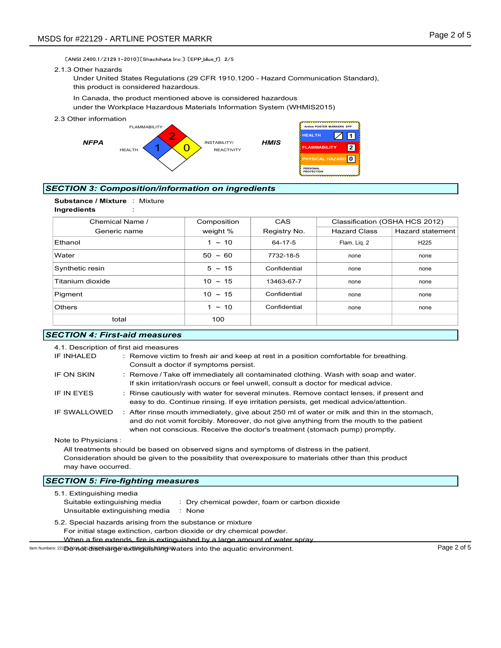#### 2.1.3 Other hazards



# SECTION 3: Composition/information on ingredients



| DS for #22129 - ARTLINE POSTER MARKR                                                                                                                |                                                                                                                                                                                                                                                                                                                                                                                                                                                                                                       |                                                               |                                                                                                          | Page 2 of 5                    |
|-----------------------------------------------------------------------------------------------------------------------------------------------------|-------------------------------------------------------------------------------------------------------------------------------------------------------------------------------------------------------------------------------------------------------------------------------------------------------------------------------------------------------------------------------------------------------------------------------------------------------------------------------------------------------|---------------------------------------------------------------|----------------------------------------------------------------------------------------------------------|--------------------------------|
| [ANSI Z400 1/Z129 1-2010] [Shachihata Inc.] [EPP blue f] 2/5                                                                                        |                                                                                                                                                                                                                                                                                                                                                                                                                                                                                                       |                                                               |                                                                                                          |                                |
| 2.1.3 Other hazards<br>Under United States Regulations (29 CFR 1910.1200 - Hazard Communication Standard),<br>this product is considered hazardous. |                                                                                                                                                                                                                                                                                                                                                                                                                                                                                                       |                                                               |                                                                                                          |                                |
| In Canada, the product mentioned above is considered hazardous<br>under the Workplace Hazardous Materials Information System (WHMIS2015)            |                                                                                                                                                                                                                                                                                                                                                                                                                                                                                                       |                                                               |                                                                                                          |                                |
| 2.3 Other information<br><b>FLAMMABILITY</b><br><b>NFPA</b><br><b>HFAITH</b>                                                                        | INSTABILITY/<br><b>REACTIVITY</b>                                                                                                                                                                                                                                                                                                                                                                                                                                                                     | <b>HEALTH</b><br><b>HMIS</b><br><b>PERSONAL</b><br>PROTECTION | Artline POSTER MARKERS EPP<br>$\sqrt{}$<br>I 1<br>$\sqrt{2}$<br><b>FLAMMABILITY</b><br>PHYSICAL HAZARD 0 |                                |
| ECTION 3: Composition/information on ingredients                                                                                                    |                                                                                                                                                                                                                                                                                                                                                                                                                                                                                                       |                                                               |                                                                                                          |                                |
| Substance / Mixture : Mixture<br>Ingredients                                                                                                        |                                                                                                                                                                                                                                                                                                                                                                                                                                                                                                       |                                                               |                                                                                                          |                                |
| Chemical Name /                                                                                                                                     | Composition                                                                                                                                                                                                                                                                                                                                                                                                                                                                                           | CAS                                                           |                                                                                                          | Classification (OSHA HCS 2012) |
| Generic name                                                                                                                                        | weight %                                                                                                                                                                                                                                                                                                                                                                                                                                                                                              | Registry No.                                                  | <b>Hazard Class</b>                                                                                      | Hazard statement               |
| Ethanol                                                                                                                                             | $1 \sim 10$                                                                                                                                                                                                                                                                                                                                                                                                                                                                                           | 64-17-5                                                       | Flam. Liq. 2                                                                                             | H <sub>225</sub>               |
| Water                                                                                                                                               | $50 - 60$                                                                                                                                                                                                                                                                                                                                                                                                                                                                                             | 7732-18-5                                                     | none                                                                                                     | none                           |
| Synthetic resin                                                                                                                                     | $5 \sim 15$                                                                                                                                                                                                                                                                                                                                                                                                                                                                                           | Confidential                                                  | none                                                                                                     | none                           |
| Titanium dioxide                                                                                                                                    | $10 \sim 15$                                                                                                                                                                                                                                                                                                                                                                                                                                                                                          | 13463-67-7                                                    | none                                                                                                     | none                           |
| Pigment                                                                                                                                             | $10 \sim 15$                                                                                                                                                                                                                                                                                                                                                                                                                                                                                          | Confidential                                                  | none                                                                                                     | none                           |
| Others                                                                                                                                              | $1 \sim 10$                                                                                                                                                                                                                                                                                                                                                                                                                                                                                           | Confidential                                                  | none                                                                                                     | none                           |
| total                                                                                                                                               | 100                                                                                                                                                                                                                                                                                                                                                                                                                                                                                                   |                                                               |                                                                                                          |                                |
| <b>ECTION 4: First-aid measures</b>                                                                                                                 |                                                                                                                                                                                                                                                                                                                                                                                                                                                                                                       |                                                               |                                                                                                          |                                |
| 4.1. Description of first aid measures<br>IF INHALED<br>IF ON SKIN<br>IF IN EYES                                                                    | : Remove victim to fresh air and keep at rest in a position comfortable for breathing.<br>Consult a doctor if symptoms persist.<br>: Remove / Take off immediately all contaminated clothing. Wash with soap and water.<br>If skin irritation/rash occurs or feel unwell, consult a doctor for medical advice.<br>: Rinse cautiously with water for several minutes. Remove contact lenses, if present and<br>easy to do. Continue rinsing. If eye irritation persists, get medical advice/attention. |                                                               |                                                                                                          |                                |
| IF SWALLOWED                                                                                                                                        | : After rinse mouth immediately, give about 250 ml of water or milk and thin in the stomach,<br>and do not vomit forcibly. Moreover, do not give anything from the mouth to the patient                                                                                                                                                                                                                                                                                                               |                                                               |                                                                                                          |                                |

| <b>SECTION 4: First-aid measures</b>   |                                                                                                                                                                                                                                                                        |
|----------------------------------------|------------------------------------------------------------------------------------------------------------------------------------------------------------------------------------------------------------------------------------------------------------------------|
| 4.1. Description of first aid measures |                                                                                                                                                                                                                                                                        |
| IF INHALED                             | : Remove victim to fresh air and keep at rest in a position comfortable for breathing.<br>Consult a doctor if symptoms persist.                                                                                                                                        |
| IF ON SKIN                             | : Remove / Take off immediately all contaminated clothing. Wash with soap and water.<br>If skin irritation/rash occurs or feel unwell, consult a doctor for medical advice.                                                                                            |
| IF IN EYES                             | : Rinse cautiously with water for several minutes. Remove contact lenses, if present and<br>easy to do. Continue rinsing. If eye irritation persists, get medical advice/attention.                                                                                    |
| IF SWALLOWED                           | : After rinse mouth immediately, give about 250 ml of water or milk and thin in the stomach,<br>and do not vomit forcibly. Moreover, do not give anything from the mouth to the patient<br>when not conscious. Receive the doctor's treatment (stomach pump) promptly. |
| Note to Physicians:                    |                                                                                                                                                                                                                                                                        |
|                                        | All treatments should be based on observed signs and symptoms of distress in the patient.                                                                                                                                                                              |
| may have occurred.                     | Consideration should be given to the possibility that overexposure to materials other than this product                                                                                                                                                                |

| 5.1. Extinguishing media                                                                                                  |             |
|---------------------------------------------------------------------------------------------------------------------------|-------------|
| Suitable extinguishing media<br>: Dry chemical powder, foam or carbon dioxide<br>Unsuitable extinguishing media<br>: None |             |
| 5.2. Special hazards arising from the substance or mixture                                                                |             |
| For initial stage extinction, carbon dioxide or dry chemical powder.                                                      |             |
| When a fire extends, fire is extinguished by a large amount of water spray.                                               |             |
| kem Numbers: 221B�01240t12tissethanag@1extipaspunishaipasomaters into the aquatic environment.                            | Page 2 of 5 |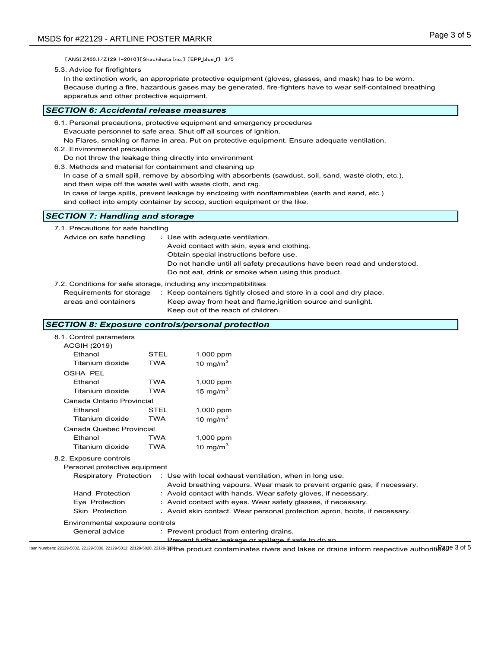[ANSI Z400 1/Z129 1-2010] [Shachihata Inc.] [EPP\_blue\_f] 3/5

5.3. Advice for firefighters

In the extinction work, an appropriate protective equipment (gloves, glasses, and mask) has to be worn. Because during a fire, hazardous gases may be generated, fire-fighters have to wear self-contained breathing apparatus and other protective equipment.

#### SECTION 6: Accidental release measures

- 6.2. Environmental precautions
- Do not throw the leakage thing directly into environment
- 6.3. Methods and material for containment and cleaning up
	- In case of a small spill, remove by absorbing with absorbents (sawdust, soil, sand, waste cloth, etc.), and then wipe off the waste well with waste cloth, and rag.
	- In case of large spills, prevent leakage by enclosing with nonflammables (earth and sand, etc.)

# SECTION 7: Handling and storage

| apparatus and other protective equipment.                                                                                                                                                                                           |                           |                                                                                                                                                                                                                         | Because during a fire, nazardous gases may be generated, fire-fighters have to wear self-contained breathing                                                                                                                                                                                                 |  |
|-------------------------------------------------------------------------------------------------------------------------------------------------------------------------------------------------------------------------------------|---------------------------|-------------------------------------------------------------------------------------------------------------------------------------------------------------------------------------------------------------------------|--------------------------------------------------------------------------------------------------------------------------------------------------------------------------------------------------------------------------------------------------------------------------------------------------------------|--|
| ECTION 6: Accidental release measures                                                                                                                                                                                               |                           |                                                                                                                                                                                                                         |                                                                                                                                                                                                                                                                                                              |  |
| 6.1. Personal precautions, protective equipment and emergency procedures<br>6.2. Environmental precautions<br>Do not throw the leakage thing directly into environment<br>6.3. Methods and material for containment and cleaning up |                           | Evacuate personnel to safe area. Shut off all sources of ignition.<br>and then wipe off the waste well with waste cloth, and rag.<br>and collect into empty container by scoop, suction equipment or the like.          | No Flares, smoking or flame in area. Put on protective equipment. Ensure adequate ventilation.<br>In case of a small spill, remove by absorbing with absorbents (sawdust, soil, sand, waste cloth, etc.),<br>In case of large spills, prevent leakage by enclosing with nonflammables (earth and sand, etc.) |  |
| <b>ECTION 7: Handling and storage</b>                                                                                                                                                                                               |                           |                                                                                                                                                                                                                         |                                                                                                                                                                                                                                                                                                              |  |
| 7.1. Precautions for safe handling<br>Advice on safe handling<br>7.2. Conditions for safe storage, including any incompatibilities<br>Requirements for storage<br>areas and containers                                              |                           | : Use with adequate ventilation.<br>Avoid contact with skin, eyes and clothing.<br>Obtain special instructions before use.<br>Do not eat, drink or smoke when using this product.<br>Keep out of the reach of children. | Do not handle until all safety precautions have been read and understood.<br>: Keep containers tightly closed and store in a cool and dry place.<br>Keep away from heat and flame, ignition source and sunlight.                                                                                             |  |
| ECTION 8: Exposure controls/personal protection                                                                                                                                                                                     |                           |                                                                                                                                                                                                                         |                                                                                                                                                                                                                                                                                                              |  |
| 8.1. Control parameters<br><b>ACGIH (2019)</b><br>Ethanol<br>Titanium dioxide                                                                                                                                                       | <b>STEL</b><br><b>TWA</b> | 1,000 ppm<br>10 mg/m $3$                                                                                                                                                                                                |                                                                                                                                                                                                                                                                                                              |  |
| <b>OSHA PEL</b><br>Ethanol<br>Titanium dioxide                                                                                                                                                                                      | <b>TWA</b><br><b>TWA</b>  | 1,000 ppm<br>15 mg/m $3$                                                                                                                                                                                                |                                                                                                                                                                                                                                                                                                              |  |
| Canada Ontario Provincial<br>Ethanol                                                                                                                                                                                                | STEL                      | 1,000 ppm                                                                                                                                                                                                               |                                                                                                                                                                                                                                                                                                              |  |

### SECTION 8: Exposure controls/personal protection

| o.s. ivienious and material for containment and clearing up |            | In case of a small spill, remove by absorbing with absorbents (sawdust, soil, sand, waste cloth, etc.),<br>and then wipe off the waste well with waste cloth, and rag. |  |
|-------------------------------------------------------------|------------|------------------------------------------------------------------------------------------------------------------------------------------------------------------------|--|
|                                                             |            | In case of large spills, prevent leakage by enclosing with nonflammables (earth and sand, etc.)                                                                        |  |
|                                                             |            | and collect into empty container by scoop, suction equipment or the like.                                                                                              |  |
| <b>SECTION 7: Handling and storage</b>                      |            |                                                                                                                                                                        |  |
| 7.1. Precautions for safe handling                          |            |                                                                                                                                                                        |  |
| Advice on safe handling                                     |            | : Use with adequate ventilation.                                                                                                                                       |  |
|                                                             |            | Avoid contact with skin, eyes and clothing.                                                                                                                            |  |
|                                                             |            | Obtain special instructions before use.                                                                                                                                |  |
|                                                             |            | Do not handle until all safety precautions have been read and understood.<br>Do not eat, drink or smoke when using this product.                                       |  |
|                                                             |            |                                                                                                                                                                        |  |
|                                                             |            | 7.2. Conditions for safe storage, including any incompatibilities                                                                                                      |  |
| Requirements for storage<br>areas and containers            |            | : Keep containers tightly closed and store in a cool and dry place.<br>Keep away from heat and flame, ignition source and sunlight.                                    |  |
|                                                             |            | Keep out of the reach of children.                                                                                                                                     |  |
|                                                             |            |                                                                                                                                                                        |  |
| <b>SECTION 8: Exposure controls/personal protection</b>     |            |                                                                                                                                                                        |  |
| 8.1. Control parameters                                     |            |                                                                                                                                                                        |  |
| <b>ACGIH (2019)</b><br>Ethanol                              | STEL       |                                                                                                                                                                        |  |
| Titanium dioxide                                            | <b>TWA</b> | 1,000 ppm<br>10 mg/m $3$                                                                                                                                               |  |
| <b>OSHA PEL</b>                                             |            |                                                                                                                                                                        |  |
| Ethanol                                                     | <b>TWA</b> | 1,000 ppm                                                                                                                                                              |  |
| Titanium dioxide                                            | <b>TWA</b> | 15 mg/m $^3$                                                                                                                                                           |  |
| Canada Ontario Provincial                                   |            |                                                                                                                                                                        |  |
| Ethanol                                                     | STEL       | 1,000 ppm                                                                                                                                                              |  |
| Titanium dioxide                                            | <b>TWA</b> | 10 mg/m $^3$                                                                                                                                                           |  |
| Canada Quebec Provincial                                    |            |                                                                                                                                                                        |  |
| Ethanol                                                     | <b>TWA</b> | 1,000 ppm                                                                                                                                                              |  |
| Titanium dioxide                                            | <b>TWA</b> | 10 mg/m $^3$                                                                                                                                                           |  |
| 8.2. Exposure controls                                      |            |                                                                                                                                                                        |  |
| Personal protective equipment                               |            |                                                                                                                                                                        |  |
| Respiratory Protection                                      |            | : Use with local exhaust ventilation, when in long use.                                                                                                                |  |
|                                                             |            | Avoid breathing vapours. Wear mask to prevent organic gas, if necessary.                                                                                               |  |
| Hand Protection                                             |            | : Avoid contact with hands. Wear safety gloves, if necessary.                                                                                                          |  |
| Eye Protection                                              |            | : Avoid contact with eyes. Wear safety glasses, if necessary.                                                                                                          |  |
| Skin Protection                                             |            | : Avoid skin contact. Wear personal protection apron, boots, if necessary.                                                                                             |  |
| Environmental exposure controls                             |            |                                                                                                                                                                        |  |
| General advice                                              |            | : Prevent product from entering drains.                                                                                                                                |  |
|                                                             |            | Prevent further leakage or spillage if safe to do so                                                                                                                   |  |

ltem Numbers: 22129-5002, 22129-5006, 22129-5012, 22129-5020, 22129-¶®the product contaminates rivers and lakes or drains inform respective authoriti&gge 3 of 5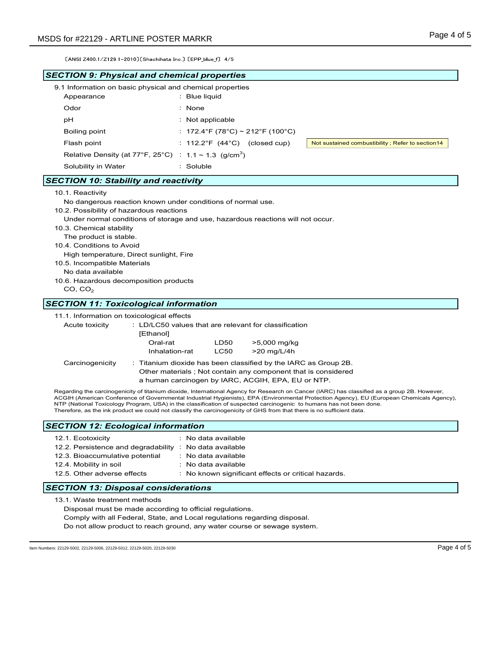| MSDS for #22129 - ARTLINE POSTER MARKR                                                                                                                                                                                                       |                                                                                                                                                                                                                                                                                                        | Page 4 of 5                                                                                                                                                                                                                                                                               |
|----------------------------------------------------------------------------------------------------------------------------------------------------------------------------------------------------------------------------------------------|--------------------------------------------------------------------------------------------------------------------------------------------------------------------------------------------------------------------------------------------------------------------------------------------------------|-------------------------------------------------------------------------------------------------------------------------------------------------------------------------------------------------------------------------------------------------------------------------------------------|
| [ANSI Z400 1/Z129 1-2010] [Shachihata Inc.] [EPP_blue_f] 4/5                                                                                                                                                                                 |                                                                                                                                                                                                                                                                                                        |                                                                                                                                                                                                                                                                                           |
| <b>SECTION 9: Physical and chemical properties</b>                                                                                                                                                                                           |                                                                                                                                                                                                                                                                                                        |                                                                                                                                                                                                                                                                                           |
| 9.1 Information on basic physical and chemical properties<br>Appearance                                                                                                                                                                      | : Blue liquid                                                                                                                                                                                                                                                                                          |                                                                                                                                                                                                                                                                                           |
| Odor                                                                                                                                                                                                                                         | $:$ None                                                                                                                                                                                                                                                                                               |                                                                                                                                                                                                                                                                                           |
| рH                                                                                                                                                                                                                                           | $:$ Not applicable                                                                                                                                                                                                                                                                                     |                                                                                                                                                                                                                                                                                           |
| Boiling point                                                                                                                                                                                                                                | : $172.4^{\circ}$ F (78°C) ~ $212^{\circ}$ F (100°C)                                                                                                                                                                                                                                                   |                                                                                                                                                                                                                                                                                           |
| Flash point                                                                                                                                                                                                                                  | : $112.2^{\circ}F$ (44 $^{\circ}C$ ) (closed cup)                                                                                                                                                                                                                                                      | Not sustained combustibility; Refer to section14                                                                                                                                                                                                                                          |
| Relative Density (at 77°F, 25°C) : 1.1 ~ 1.3 (g/cm <sup>3</sup> )                                                                                                                                                                            |                                                                                                                                                                                                                                                                                                        |                                                                                                                                                                                                                                                                                           |
| Solubility in Water                                                                                                                                                                                                                          | : Soluble                                                                                                                                                                                                                                                                                              |                                                                                                                                                                                                                                                                                           |
| <b>SECTION 10: Stability and reactivity</b>                                                                                                                                                                                                  |                                                                                                                                                                                                                                                                                                        |                                                                                                                                                                                                                                                                                           |
| 10.5. Incompatible Materials<br>No data available<br>10.6. Hazardous decomposition products<br>CO, CO <sub>2</sub>                                                                                                                           |                                                                                                                                                                                                                                                                                                        |                                                                                                                                                                                                                                                                                           |
| <b>SECTION 11: Toxicological information</b>                                                                                                                                                                                                 |                                                                                                                                                                                                                                                                                                        |                                                                                                                                                                                                                                                                                           |
| 11.1. Information on toxicological effects                                                                                                                                                                                                   |                                                                                                                                                                                                                                                                                                        |                                                                                                                                                                                                                                                                                           |
| Acute toxicity<br>[Ethanol]<br>Oral-rat<br>Inhalation-rat<br>Carcinogenicity                                                                                                                                                                 | : LD/LC50 values that are relevant for classification<br>>5,000 mg/kg<br>LD50<br><b>LC50</b><br>>20 mg/L/4h<br>: Titanium dioxide has been classified by the IARC as Group 2B.<br>Other materials ; Not contain any component that is considered<br>a human carcinogen by IARC, ACGIH, EPA, EU or NTP. |                                                                                                                                                                                                                                                                                           |
| NTP (National Toxicology Program, USA) in the classification of suspected carcinogenic to humans has not been done.<br>Therefore, as the ink product we could not classify the carcinogenicity of GHS from that there is no sufficient data. |                                                                                                                                                                                                                                                                                                        | Regarding the carcinogenicity of titanium dioxide, International Agency for Research on Cancer (IARC) has classified as a group 2B. However,<br>ACGIH (American Conference of Governmental Industrial Hygienists), EPA (Environmental Protection Agency), EU (European Chemicals Agency), |
|                                                                                                                                                                                                                                              |                                                                                                                                                                                                                                                                                                        |                                                                                                                                                                                                                                                                                           |
| <b>SECTION 12: Ecological information</b><br>12.1. Ecotoxicity<br>12.2. Persistence and degradability : No data available<br>12.3. Bioaccumulative potential<br>12.4. Mobility in soil<br>12.5. Other adverse effects                        | : No data available<br>: No data available<br>: No data available<br>: No known significant effects or critical hazards.                                                                                                                                                                               |                                                                                                                                                                                                                                                                                           |

Do not allow product to reach ground, any water course or sewage system.

Item Numbers: 22129-5002, 22129-5006, 22129-5012, 22129-5020, 22129-5030